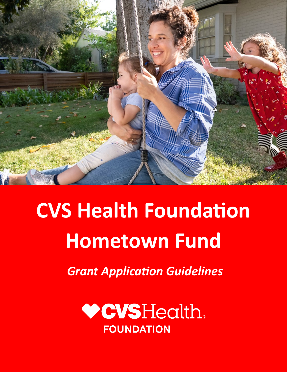

# **CVS Health Foundation Hometown Fund**

*Grant Application Guidelines*

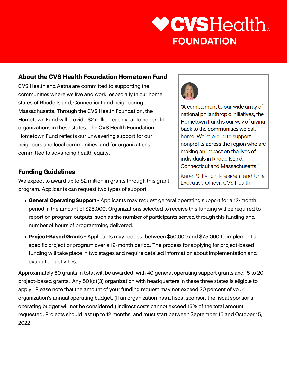#### **About the CVS Health Foundation Hometown Fund**

CVS Health and Aetna are committed to supporting the communities where we live and work, especially in our home states of Rhode Island, Connecticut and neighboring Massachusetts. Through the CVS Health Foundation, the Hometown Fund will provide \$2 million each year to nonprofit organizations in these states. The CVS Health Foundation Hometown Fund reflects our unwavering support for our neighbors and local communities, and for organizations committed to advancing health equity.

#### **Funding Guidelines**

We expect to award up to \$2 million in grants through this grant program. Applicants can request two types of support.

- **General Operating Support -** Applicants may request general operating support for a 12-month period in the amount of \$25,000. Organizations selected to receive this funding will be required to report on program outputs, such as the number of participants served through this funding and number of hours of programming delivered.
- **Project-Based Grants -** Applicants may request between \$50,000 and \$75,000 to implement a specific project or program over a 12-month period. The process for applying for project-based funding will take place in two stages and require detailed information about implementation and evaluation activities.

Approximately 60 grants in total will be awarded, with 40 general operating support grants and 15 to 20 project-based grants. Any 501(c)(3) organization with headquarters in these three states is eligible to apply. Please note that the amount of your funding request may not exceed 20 percent of your organization's annual operating budget. (If an organization has a fiscal sponsor, the fiscal sponsor's operating budget will not be considered.) Indirect costs cannot exceed 15% of the total amount requested. Projects should last up to 12 months, and must start between September 15 and October 15, 2022.

Karen S. Lynch, President and Chief Executive Officer, CVS Health

**Connecticut and Massachusetts."** 

**nonprofits across the region who are making an impact on the lives of individuals in Rhode Island,** 

**complement to our wide array of national philanthropic initiatives, the Hometown Fund is our way of giving back to the communities we call home. We're proud to support** 



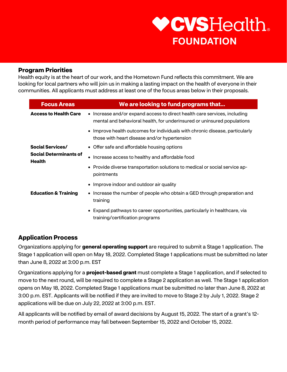#### **Program Priorities**

Health equity is at the heart of our work, and the Hometown Fund reflects this commitment. We are looking for local partners who will join us in making a lasting impact on the health of everyone in their communities. All applicants must address at least one of the focus areas below in their proposals.

| <b>Focus Areas</b>                             | We are looking to fund programs that                                                                                                                 |
|------------------------------------------------|------------------------------------------------------------------------------------------------------------------------------------------------------|
| <b>Access to Health Care</b>                   | • Increase and/or expand access to direct health care services, including<br>mental and behavioral health, for underinsured or uninsured populations |
|                                                | • Improve health outcomes for individuals with chronic disease, particularly<br>those with heart disease and/or hypertension                         |
| <b>Social Services/</b>                        | • Offer safe and affordable housing options                                                                                                          |
| <b>Social Determinants of</b><br><b>Health</b> | Increase access to healthy and affordable food                                                                                                       |
|                                                | • Provide diverse transportation solutions to medical or social service ap-<br>pointments                                                            |
|                                                | • Improve indoor and outdoor air quality                                                                                                             |
| <b>Education &amp; Training</b>                | • Increase the number of people who obtain a GED through preparation and<br>training                                                                 |
|                                                | • Expand pathways to career opportunities, particularly in healthcare, via<br>training/certification programs                                        |

#### **Application Process**

Organizations applying for **general operating support** are required to submit a Stage 1 application. The Stage 1 application will open on May 18, 2022. Completed Stage 1 applications must be submitted no later than June 8, 2022 at 3:00 p.m. EST

Organizations applying for a **project-based grant** must complete a Stage 1 application, and if selected to move to the next round, will be required to complete a Stage 2 application as well. The Stage 1 application opens on May 18, 2022. Completed Stage 1 applications must be submitted no later than June 8, 2022 at 3:00 p.m. EST. Applicants will be notified if they are invited to move to Stage 2 by July 1, 2022. Stage 2 applications will be due on July 22, 2022 at 3:00 p.m. EST.

All applicants will be notified by email of award decisions by August 15, 2022. The start of a grant's 12 month period of performance may fall between September 15, 2022 and October 15, 2022.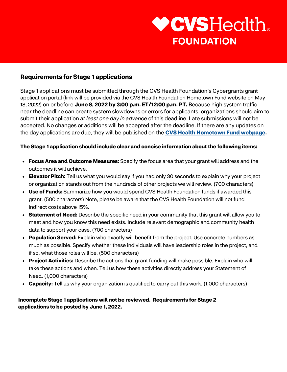#### **Requirements for Stage 1 applications**

Stage 1 applications must be submitted through the CVS Health Foundation's Cybergrants grant application portal (link will be provided via the CVS Health Foundation Hometown Fund website on May 18, 2022) on or before **June 8, 2022 by 3:00 p.m. ET/12:00 p.m. PT.** Because high system traffic near the deadline can create system slowdowns or errors for applicants, organizations should aim to submit their application *at least one day in advance* of this deadline. Late submissions will not be accepted. No changes or additions will be accepted after the deadline. If there are any updates on the day applications are due, they will be published on the **[CVS Health Hometown Fund webpage.](https://www.cvshealth.com/hometownfund)**

#### **The Stage 1 application should include clear and concise information about the following items:**

- **Focus Area and Outcome Measures:** Specify the focus area that your grant will address and the outcomes it will achieve.
- **Elevator Pitch:** Tell us what you would say if you had only 30 seconds to explain why your project or organization stands out from the hundreds of other projects we will review. (700 characters)
- **Use of Funds:** Summarize how you would spend CVS Health Foundation funds if awarded this grant. (500 characters) Note, please be aware that the CVS Health Foundation will not fund indirect costs above 15%.
- **Statement of Need:** Describe the specific need in your community that this grant will allow you to meet and how you know this need exists. Include relevant demographic and community health data to support your case. (700 characters)
- **Population Served:** Explain who exactly will benefit from the project. Use concrete numbers as much as possible. Specify whether these individuals will have leadership roles in the project, and if so, what those roles will be. (500 characters)
- **Project Activities:** Describe the actions that grant funding will make possible. Explain who will take these actions and when. Tell us how these activities directly address your Statement of Need. (1,000 characters)
- **Capacity:** Tell us why your organization is qualified to carry out this work. (1,000 characters)

#### **Incomplete Stage 1 applications will not be reviewed. Requirements for Stage 2 applications to be posted by June 1, 2022.**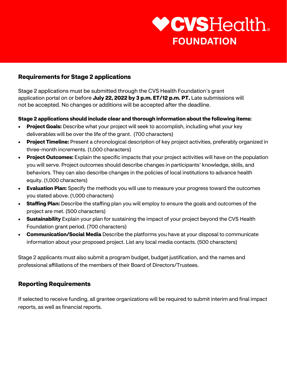#### **Requirements for Stage 2 applications**

Stage 2 applications must be submitted through the CVS Health Foundation's grant application portal on or before **July 22, 2022 by 3 p.m. ET/12 p.m. PT.** Late submissions will not be accepted. No changes or additions will be accepted after the deadline.

#### **Stage 2 applications should include clear and thorough information about the following items:**

- **Project Goals:** Describe what your project will seek to accomplish, including what your key deliverables will be over the life of the grant. (700 characters)
- **Project Timeline:** Present a chronological description of key project activities, preferably organized in three-month increments. (1,000 characters)
- **Project Outcomes:** Explain the specific impacts that your project activities will have on the population you will serve. Project outcomes should describe changes in participants' knowledge, skills, and behaviors. They can also describe changes in the policies of local institutions to advance health equity. (1,000 characters)
- **Evaluation Plan:** Specify the methods you will use to measure your progress toward the outcomes you stated above. (1,000 characters)
- **Staffing Plan:** Describe the staffing plan you will employ to ensure the goals and outcomes of the project are met. (500 characters)
- **Sustainability** Explain your plan for sustaining the impact of your project beyond the CVS Health Foundation grant period. (700 characters)
- **Communication/Social Media** Describe the platforms you have at your disposal to communicate information about your proposed project. List any local media contacts. (500 characters)

Stage 2 applicants must also submit a program budget, budget justification, and the names and professional affiliations of the members of their Board of Directors/Trustees.

#### **Reporting Requirements**

If selected to receive funding, all grantee organizations will be required to submit interim and final impact reports, as well as financial reports.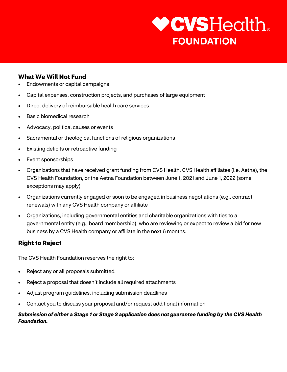#### **What We Will Not Fund**

- Endowments or capital campaigns
- Capital expenses, construction projects, and purchases of large equipment
- Direct delivery of reimbursable health care services
- Basic biomedical research
- Advocacy, political causes or events
- Sacramental or theological functions of religious organizations
- **Existing deficits or retroactive funding**
- Event sponsorships
- Organizations that have received grant funding from CVS Health, CVS Health affiliates (i.e. Aetna), the CVS Health Foundation, or the Aetna Foundation between June 1, 2021 and June 1, 2022 (some exceptions may apply)
- Organizations currently engaged or soon to be engaged in business negotiations (e.g., contract renewals) with any CVS Health company or affiliate
- Organizations, including governmental entities and charitable organizations with ties to a governmental entity (e.g., board membership), who are reviewing or expect to review a bid for new business by a CVS Health company or affiliate in the next 6 months.

#### **Right to Reject**

The CVS Health Foundation reserves the right to:

- Reject any or all proposals submitted
- Reject a proposal that doesn't include all required attachments
- Adjust program guidelines, including submission deadlines
- Contact you to discuss your proposal and/or request additional information

#### *Submission of either a Stage 1 or Stage 2 application does not guarantee funding by the CVS Health Foundation.*